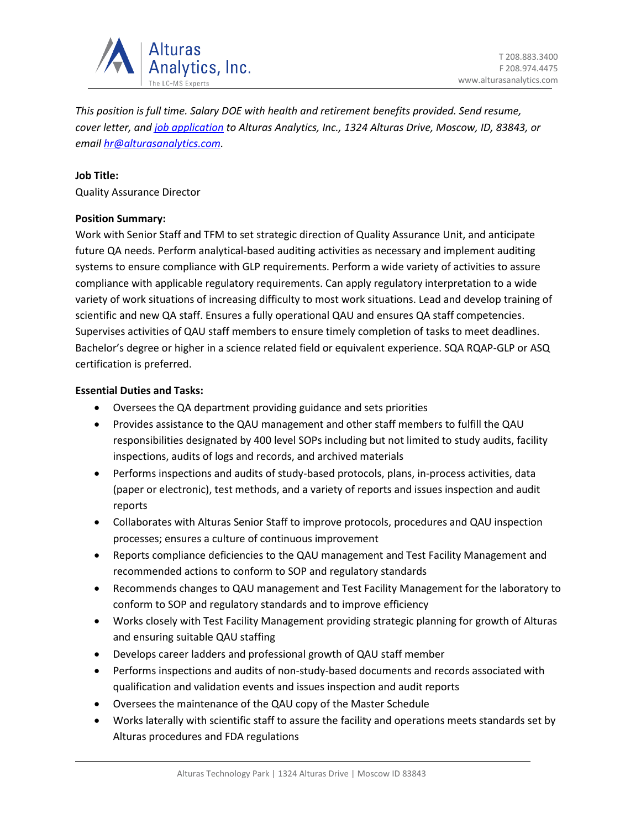

*This position is full time. Salary DOE with health and retirement benefits provided. Send resume, cover letter, an[d job application](https://alturasanalytics.com/media/41140/alturas-job-application-form.pdf) to Alturas Analytics, Inc., 1324 Alturas Drive, Moscow, ID, 83843, or email [hr@alturasanalytics.com.](mailto:hr@alturasanalytics.com)*

# **Job Title:**

Quality Assurance Director

### **Position Summary:**

Work with Senior Staff and TFM to set strategic direction of Quality Assurance Unit, and anticipate future QA needs. Perform analytical-based auditing activities as necessary and implement auditing systems to ensure compliance with GLP requirements. Perform a wide variety of activities to assure compliance with applicable regulatory requirements. Can apply regulatory interpretation to a wide variety of work situations of increasing difficulty to most work situations. Lead and develop training of scientific and new QA staff. Ensures a fully operational QAU and ensures QA staff competencies. Supervises activities of QAU staff members to ensure timely completion of tasks to meet deadlines. Bachelor's degree or higher in a science related field or equivalent experience. SQA RQAP-GLP or ASQ certification is preferred.

# **Essential Duties and Tasks:**

- Oversees the QA department providing guidance and sets priorities
- Provides assistance to the QAU management and other staff members to fulfill the QAU responsibilities designated by 400 level SOPs including but not limited to study audits, facility inspections, audits of logs and records, and archived materials
- Performs inspections and audits of study-based protocols, plans, in-process activities, data (paper or electronic), test methods, and a variety of reports and issues inspection and audit reports
- Collaborates with Alturas Senior Staff to improve protocols, procedures and QAU inspection processes; ensures a culture of continuous improvement
- Reports compliance deficiencies to the QAU management and Test Facility Management and recommended actions to conform to SOP and regulatory standards
- Recommends changes to QAU management and Test Facility Management for the laboratory to conform to SOP and regulatory standards and to improve efficiency
- Works closely with Test Facility Management providing strategic planning for growth of Alturas and ensuring suitable QAU staffing
- Develops career ladders and professional growth of QAU staff member
- Performs inspections and audits of non-study-based documents and records associated with qualification and validation events and issues inspection and audit reports
- Oversees the maintenance of the QAU copy of the Master Schedule
- Works laterally with scientific staff to assure the facility and operations meets standards set by Alturas procedures and FDA regulations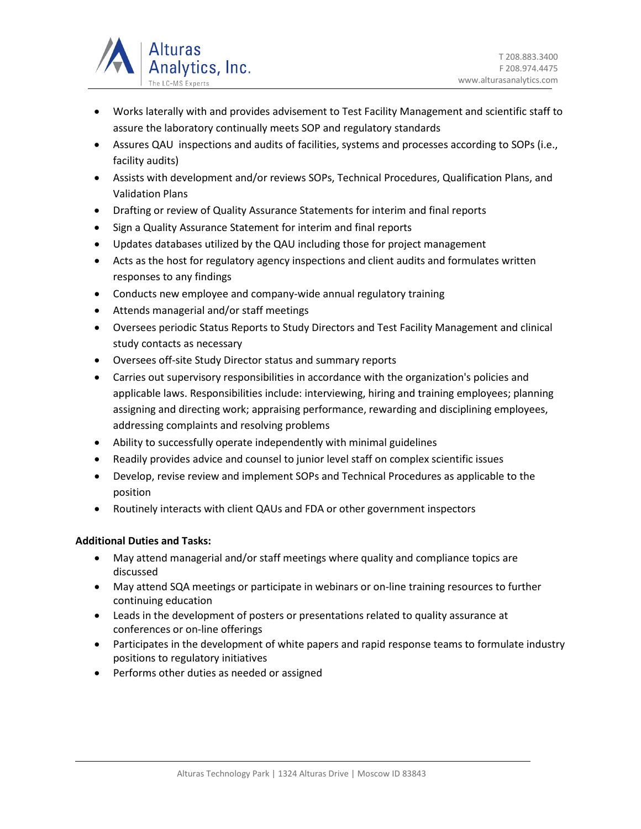

- Works laterally with and provides advisement to Test Facility Management and scientific staff to assure the laboratory continually meets SOP and regulatory standards
- Assures QAU inspections and audits of facilities, systems and processes according to SOPs (i.e., facility audits)
- Assists with development and/or reviews SOPs, Technical Procedures, Qualification Plans, and Validation Plans
- Drafting or review of Quality Assurance Statements for interim and final reports
- Sign a Quality Assurance Statement for interim and final reports
- Updates databases utilized by the QAU including those for project management
- Acts as the host for regulatory agency inspections and client audits and formulates written responses to any findings
- Conducts new employee and company-wide annual regulatory training
- Attends managerial and/or staff meetings
- Oversees periodic Status Reports to Study Directors and Test Facility Management and clinical study contacts as necessary
- Oversees off-site Study Director status and summary reports
- Carries out supervisory responsibilities in accordance with the organization's policies and applicable laws. Responsibilities include: interviewing, hiring and training employees; planning assigning and directing work; appraising performance, rewarding and disciplining employees, addressing complaints and resolving problems
- Ability to successfully operate independently with minimal guidelines
- Readily provides advice and counsel to junior level staff on complex scientific issues
- Develop, revise review and implement SOPs and Technical Procedures as applicable to the position
- Routinely interacts with client QAUs and FDA or other government inspectors

# **Additional Duties and Tasks:**

- May attend managerial and/or staff meetings where quality and compliance topics are discussed
- May attend SQA meetings or participate in webinars or on-line training resources to further continuing education
- Leads in the development of posters or presentations related to quality assurance at conferences or on-line offerings
- Participates in the development of white papers and rapid response teams to formulate industry positions to regulatory initiatives
- Performs other duties as needed or assigned